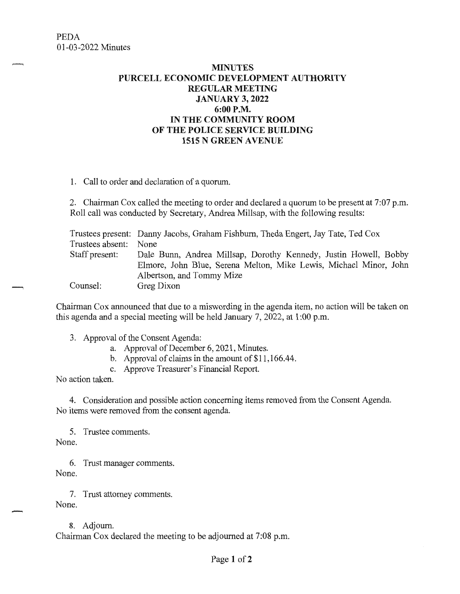## **MINUTES PURCELL ECONOMIC DEVELOPMENT AUTHORITY REGULAR MEETING JANUARY 3, 2022 6:00P.M. IN THE COMMUNITY ROOM OF THE POLICE SERVICE BUILDING 1515 N GREEN A VENUE**

1. Call to order and declaration of a quorum.

2. Chairman Cox called the meeting to order and declared a quorum to be present at 7:07 p.m. Roll call was conducted by Secretary, Andrea Millsap, with the following results:

Trustees present: Danny Jacobs, Graham Fishburn, Theda Engert, Jay Tate, Ted Cox Trustees absent: Staff present: Counsel: None Dale Bunn, Andrea Millsap, Dorothy Kennedy, Justin Howell, Bobby Elmore, John Blue, Serena Melton, Mike Lewis, Michael Minor, John Albertson, and Tommy Mize Greg Dixon

Chairman Cox announced that due to a miswording in the agenda item, no action will be taken on this agenda and a special meeting will be held January 7, 2022, at 1 :00 p.m.

- 3. Approval of the Consent Agenda:
	- a. Approval of December 6, 2021, Minutes.
	- b. Approval of claims in the amount of \$11,166.44.
	- c. Approve Treasurer's Financial Report.

No action taken.

4. Consideration and possible action concerning items removed from the Consent Agenda. No items were removed from the consent agenda.

5. Trustee comments. None.

6. Trust manager comments. None.

7. Trust attorney comments.

None.

8. Adjourn. Chairman Cox declared the meeting to be adjourned at 7:08 p.m.